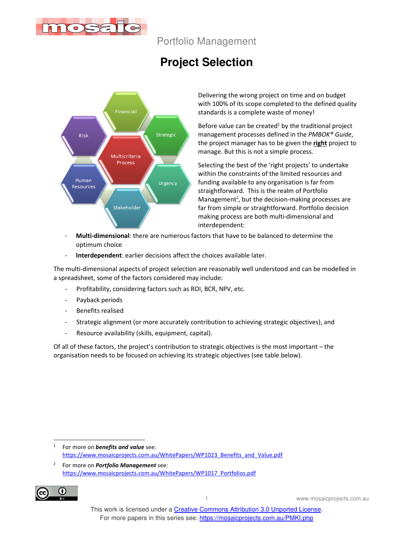

Portfolio Management

# **Project Selection**



Delivering the wrong project on time and on budget with 100% of its scope completed to the defined quality standards is a complete waste of money!

Before value can be created $1$  by the traditional project management processes defined in the *PMBOK® Guide*, the project manager has to be given the **right** project to manage. But this is not a simple process.

Selecting the best of the 'right projects' to undertake within the constraints of the limited resources and funding available to any organisation is far from straightforward. This is the realm of Portfolio Management<sup>2</sup>, but the decision-making processes are far from simple or straightforward. Portfolio decision making process are both multi-dimensional and interdependent:

- **Multi-dimensional**: there are numerous factors that have to be balanced to determine the optimum choice
- Interdependent: earlier decisions affect the choices available later.

The multi-dimensional aspects of project selection are reasonably well understood and can be modelled in a spreadsheet, some of the factors considered may include:

- Profitability, considering factors such as ROI, BCR, NPV, etc.
- Payback periods
- Benefits realised
- Strategic alignment (or more accurately contribution to achieving strategic objectives), and
- Resource availability (skills, equipment, capital).

Of all of these factors, the project's contribution to strategic objectives is the most important – the organisation needs to be focused on achieving its strategic objectives (see table below).

<sup>2</sup> For more on *Portfolio Management* see: https://www.mosaicprojects.com.au/WhitePapers/WP1017\_Portfolios.pdf



<sup>1</sup> For more on *benefits and value* see: https://www.mosaicprojects.com.au/WhitePapers/WP1023\_Benefits\_and\_Value.pdf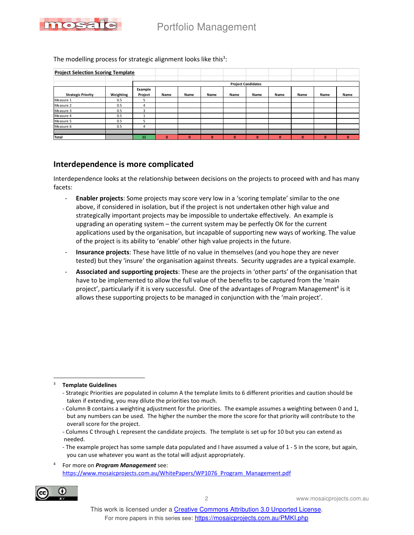

The modelling process for strategic alignment looks like this<sup>3</sup>:

| <b>Project Selection Scoring Template</b> |           |                           |          |          |          |      |      |          |      |      |              |
|-------------------------------------------|-----------|---------------------------|----------|----------|----------|------|------|----------|------|------|--------------|
|                                           |           |                           |          |          |          |      |      |          |      |      |              |
|                                           |           | <b>Project Candidates</b> |          |          |          |      |      |          |      |      |              |
|                                           |           | Example                   |          |          |          |      |      |          |      |      |              |
| <b>Strategic Priority</b>                 | Weighting | Project                   | Name     | Name     | Name     | Name | Name | Name     | Name | Name | Name         |
| Measure 1                                 | 0.5       | 5                         |          |          |          |      |      |          |      |      |              |
| Measure 2                                 | 0.5       | 4                         |          |          |          |      |      |          |      |      |              |
| Measure 3                                 | 0.5       | 3                         |          |          |          |      |      |          |      |      |              |
| Measure 4                                 | 0.5       |                           |          |          |          |      |      |          |      |      |              |
| Measure 5                                 | 0.5       | 5                         |          |          |          |      |      |          |      |      |              |
| Measure 6                                 | 0.5       | 4                         |          |          |          |      |      |          |      |      |              |
|                                           |           |                           |          |          |          |      |      |          |      |      |              |
| <b>Total</b>                              |           | 11                        | $\bf{0}$ | $\bf{0}$ | $\bf{0}$ | 0    | 0    | $\bf{0}$ | 0    | 0    | $\mathbf{0}$ |

## **Interdependence is more complicated**

Interdependence looks at the relationship between decisions on the projects to proceed with and has many facets:

- **Enabler projects**: Some projects may score very low in a 'scoring template' similar to the one above, if considered in isolation, but if the project is not undertaken other high value and strategically important projects may be impossible to undertake effectively. An example is upgrading an operating system – the current system may be perfectly OK for the current applications used by the organisation, but incapable of supporting new ways of working. The value of the project is its ability to 'enable' other high value projects in the future.
- **Insurance projects**: These have little of no value in themselves (and you hope they are never tested) but they 'insure' the organisation against threats. Security upgrades are a typical example.
- **Associated and supporting projects**: These are the projects in 'other parts' of the organisation that have to be implemented to allow the full value of the benefits to be captured from the 'main project', particularly if it is very successful. One of the advantages of Program Management<sup>4</sup> is it allows these supporting projects to be managed in conjunction with the 'main project'.

<sup>4</sup> For more on *Program Management* see: https://www.mosaicprojects.com.au/WhitePapers/WP1076\_Program\_Management.pdf



<sup>3</sup> **Template Guidelines**

<sup>-</sup> Strategic Priorities are populated in column A the template limits to 6 different priorities and caution should be taken if extending, you may dilute the priorities too much.

<sup>-</sup> Column B contains a weighting adjustment for the priorities. The example assumes a weighting between 0 and 1, but any numbers can be used. The higher the number the more the score for that priority will contribute to the overall score for the project.

<sup>-</sup> Columns C through L represent the candidate projects. The template is set up for 10 but you can extend as needed.

<sup>-</sup> The example project has some sample data populated and I have assumed a value of 1 - 5 in the score, but again, you can use whatever you want as the total will adjust appropriately.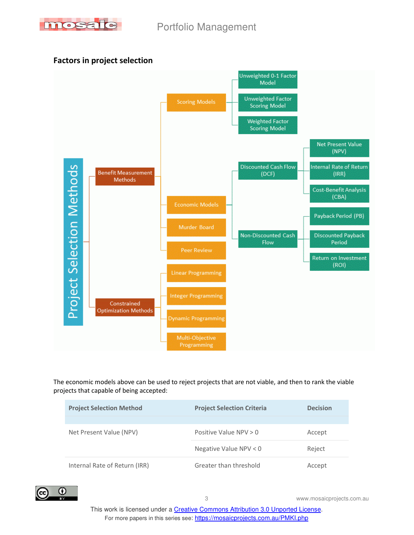

## **Factors in project selection**



The economic models above can be used to reject projects that are not viable, and then to rank the viable projects that capable of being accepted:

| <b>Project Selection Method</b> | <b>Project Selection Criteria</b> | <b>Decision</b> |  |
|---------------------------------|-----------------------------------|-----------------|--|
|                                 |                                   |                 |  |
| Net Present Value (NPV)         | Positive Value $NPV > 0$          | Accept          |  |
|                                 | Negative Value NPV $<$ 0          | Reject          |  |
| Internal Rate of Return (IRR)   | Greater than threshold            | Accept          |  |

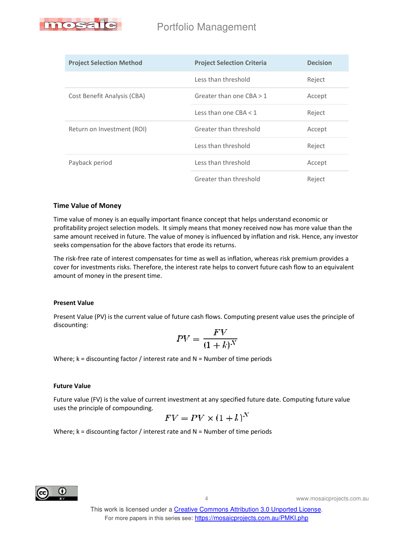

| <b>Project Selection Method</b> | <b>Project Selection Criteria</b> | <b>Decision</b> |  |
|---------------------------------|-----------------------------------|-----------------|--|
|                                 | Less than threshold               | Reject          |  |
| Cost Benefit Analysis (CBA)     | Greater than one $CBA > 1$        | Accept          |  |
|                                 | Less than one CBA $<$ 1           | Reject          |  |
| Return on Investment (ROI)      | Greater than threshold            | Accept          |  |
|                                 | Less than threshold               | Reject          |  |
| Payback period                  | Less than threshold               | Accept          |  |
|                                 | Greater than threshold            | Reject          |  |

#### **Time Value of Money**

Time value of money is an equally important finance concept that helps understand economic or profitability project selection models. It simply means that money received now has more value than the same amount received in future. The value of money is influenced by inflation and risk. Hence, any investor seeks compensation for the above factors that erode its returns.

The risk-free rate of interest compensates for time as well as inflation, whereas risk premium provides a cover for investments risks. Therefore, the interest rate helps to convert future cash flow to an equivalent amount of money in the present time.

#### **Present Value**

Present Value (PV) is the current value of future cash flows. Computing present value uses the principle of discounting:

$$
PV = \frac{FV}{(1+k)^N}
$$

Where;  $k =$  discounting factor / interest rate and  $N =$  Number of time periods

#### **Future Value**

Future value (FV) is the value of current investment at any specified future date. Computing future value uses the principle of compounding.

$$
FV = PV \times (1 + k)^N
$$

Where;  $k =$  discounting factor / interest rate and  $N =$  Number of time periods

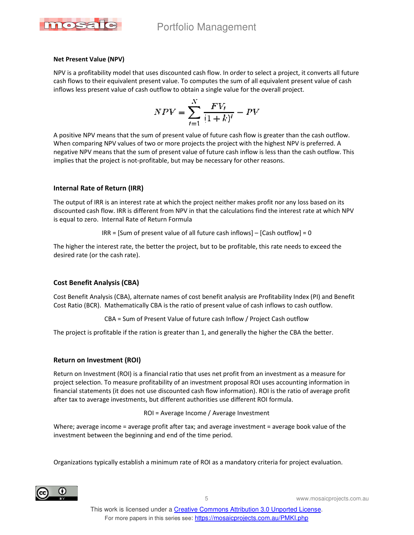

#### **Net Present Value (NPV)**

NPV is a profitability model that uses discounted cash flow. In order to select a project, it converts all future cash flows to their equivalent present value. To computes the sum of all equivalent present value of cash inflows less present value of cash outflow to obtain a single value for the overall project.

$$
NPV = \sum_{i=1}^{N} \frac{FV_i}{(1+k)^i} - PV
$$

A positive NPV means that the sum of present value of future cash flow is greater than the cash outflow. When comparing NPV values of two or more projects the project with the highest NPV is preferred. A negative NPV means that the sum of present value of future cash inflow is less than the cash outflow. This implies that the project is not-profitable, but may be necessary for other reasons.

#### **Internal Rate of Return (IRR)**

The output of IRR is an interest rate at which the project neither makes profit nor any loss based on its discounted cash flow. IRR is different from NPV in that the calculations find the interest rate at which NPV is equal to zero. Internal Rate of Return Formula

 $IRR = [Sum of present value of all future cash inflows] - [Cash outflow] = 0$ 

The higher the interest rate, the better the project, but to be profitable, this rate needs to exceed the desired rate (or the cash rate).

### **Cost Benefit Analysis (CBA)**

Cost Benefit Analysis (CBA), alternate names of cost benefit analysis are Profitability Index (PI) and Benefit Cost Ratio (BCR). Mathematically CBA is the ratio of present value of cash inflows to cash outflow.

CBA = Sum of Present Value of future cash Inflow / Project Cash outflow

The project is profitable if the ration is greater than 1, and generally the higher the CBA the better.

#### **Return on Investment (ROI)**

Return on Investment (ROI) is a financial ratio that uses net profit from an investment as a measure for project selection. To measure profitability of an investment proposal ROI uses accounting information in financial statements (it does not use discounted cash flow information). ROI is the ratio of average profit after tax to average investments, but different authorities use different ROI formula.

ROI = Average Income / Average Investment

Where; average income = average profit after tax; and average investment = average book value of the investment between the beginning and end of the time period.

Organizations typically establish a minimum rate of ROI as a mandatory criteria for project evaluation.

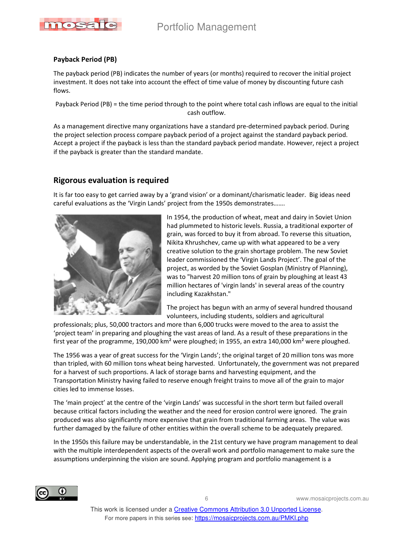

#### **Payback Period (PB)**

The payback period (PB) indicates the number of years (or months) required to recover the initial project investment. It does not take into account the effect of time value of money by discounting future cash flows.

Payback Period (PB) = the time period through to the point where total cash inflows are equal to the initial cash outflow.

As a management directive many organizations have a standard pre-determined payback period. During the project selection process compare payback period of a project against the standard payback period. Accept a project if the payback is less than the standard payback period mandate. However, reject a project if the payback is greater than the standard mandate.

## **Rigorous evaluation is required**

It is far too easy to get carried away by a 'grand vision' or a dominant/charismatic leader. Big ideas need careful evaluations as the 'Virgin Lands' project from the 1950s demonstrates…….



In 1954, the production of wheat, meat and dairy in Soviet Union had plummeted to historic levels. Russia, a traditional exporter of grain, was forced to buy it from abroad. To reverse this situation, Nikita Khrushchev, came up with what appeared to be a very creative solution to the grain shortage problem. The new Soviet leader commissioned the 'Virgin Lands Project'. The goal of the project, as worded by the Soviet Gosplan (Ministry of Planning), was to "harvest 20 million tons of grain by ploughing at least 43 million hectares of 'virgin lands' in several areas of the country including Kazakhstan."

The project has begun with an army of several hundred thousand volunteers, including students, soldiers and agricultural

professionals; plus, 50,000 tractors and more than 6,000 trucks were moved to the area to assist the 'project team' in preparing and ploughing the vast areas of land. As a result of these preparations in the first year of the programme, 190,000 km<sup>2</sup> were ploughed; in 1955, an extra 140,000 km<sup>2</sup> were ploughed.

The 1956 was a year of great success for the 'Virgin Lands'; the original target of 20 million tons was more than tripled, with 60 million tons wheat being harvested. Unfortunately, the government was not prepared for a harvest of such proportions. A lack of storage barns and harvesting equipment, and the Transportation Ministry having failed to reserve enough freight trains to move all of the grain to major cities led to immense losses.

The 'main project' at the centre of the 'virgin Lands' was successful in the short term but failed overall because critical factors including the weather and the need for erosion control were ignored. The grain produced was also significantly more expensive that grain from traditional farming areas. The value was further damaged by the failure of other entities within the overall scheme to be adequately prepared.

In the 1950s this failure may be understandable, in the 21st century we have program management to deal with the multiple interdependent aspects of the overall work and portfolio management to make sure the assumptions underpinning the vision are sound. Applying program and portfolio management is a

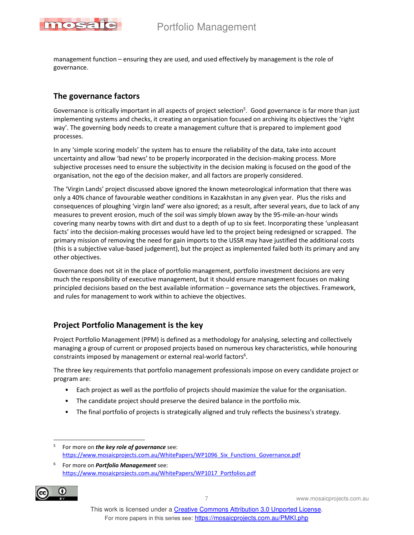



management function – ensuring they are used, and used effectively by management is the role of governance.

## **The governance factors**

Governance is critically important in all aspects of project selection<sup>5</sup>. Good governance is far more than just implementing systems and checks, it creating an organisation focused on archiving its objectives the 'right way'. The governing body needs to create a management culture that is prepared to implement good processes.

In any 'simple scoring models' the system has to ensure the reliability of the data, take into account uncertainty and allow 'bad news' to be properly incorporated in the decision-making process. More subjective processes need to ensure the subjectivity in the decision making is focused on the good of the organisation, not the ego of the decision maker, and all factors are properly considered.

The 'Virgin Lands' project discussed above ignored the known meteorological information that there was only a 40% chance of favourable weather conditions in Kazakhstan in any given year. Plus the risks and consequences of ploughing 'virgin land' were also ignored; as a result, after several years, due to lack of any measures to prevent erosion, much of the soil was simply blown away by the 95-mile-an-hour winds covering many nearby towns with dirt and dust to a depth of up to six feet. Incorporating these 'unpleasant facts' into the decision-making processes would have led to the project being redesigned or scrapped. The primary mission of removing the need for gain imports to the USSR may have justified the additional costs (this is a subjective value-based judgement), but the project as implemented failed both its primary and any other objectives.

Governance does not sit in the place of portfolio management, portfolio investment decisions are very much the responsibility of executive management, but it should ensure management focuses on making principled decisions based on the best available information – governance sets the objectives. Framework, and rules for management to work within to achieve the objectives.

## **Project Portfolio Management is the key**

Project Portfolio Management (PPM) is defined as a methodology for analysing, selecting and collectively managing a group of current or proposed projects based on numerous key characteristics, while honouring constraints imposed by management or external real-world factors<sup>6</sup>.

The three key requirements that portfolio management professionals impose on every candidate project or program are:

- Each project as well as the portfolio of projects should maximize the value for the organisation.
- The candidate project should preserve the desired balance in the portfolio mix.
- The final portfolio of projects is strategically aligned and truly reflects the business's strategy.

<sup>6</sup> For more on *Portfolio Management* see: https://www.mosaicprojects.com.au/WhitePapers/WP1017\_Portfolios.pdf



<sup>5</sup> For more on *the key role of governance* see: https://www.mosaicprojects.com.au/WhitePapers/WP1096\_Six\_Functions\_Governance.pdf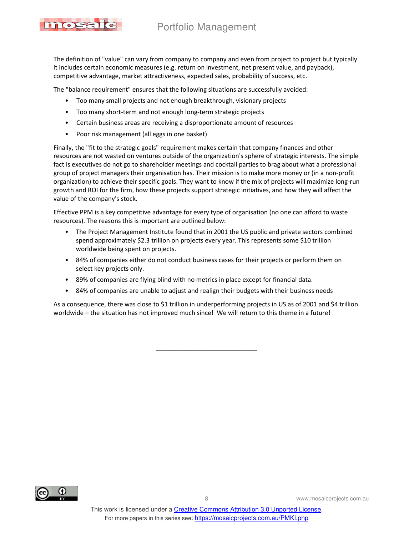## Portfolio Management

mosa

The definition of "value" can vary from company to company and even from project to project but typically it includes certain economic measures (e.g. return on investment, net present value, and payback), competitive advantage, market attractiveness, expected sales, probability of success, etc.

The "balance requirement" ensures that the following situations are successfully avoided:

- Too many small projects and not enough breakthrough, visionary projects
- Too many short-term and not enough long-term strategic projects
- Certain business areas are receiving a disproportionate amount of resources
- Poor risk management (all eggs in one basket)

Finally, the "fit to the strategic goals" requirement makes certain that company finances and other resources are not wasted on ventures outside of the organization's sphere of strategic interests. The simple fact is executives do not go to shareholder meetings and cocktail parties to brag about what a professional group of project managers their organisation has. Their mission is to make more money or (in a non-profit organization) to achieve their specific goals. They want to know if the mix of projects will maximize long-run growth and ROI for the firm, how these projects support strategic initiatives, and how they will affect the value of the company's stock.

Effective PPM is a key competitive advantage for every type of organisation (no one can afford to waste resources). The reasons this is important are outlined below:

- The Project Management Institute found that in 2001 the US public and private sectors combined spend approximately \$2.3 trillion on projects every year. This represents some \$10 trillion worldwide being spent on projects.
- 84% of companies either do not conduct business cases for their projects or perform them on select key projects only.
- 89% of companies are flying blind with no metrics in place except for financial data.
- 84% of companies are unable to adjust and realign their budgets with their business needs

As a consequence, there was close to \$1 trillion in underperforming projects in US as of 2001 and \$4 trillion worldwide – the situation has not improved much since! We will return to this theme in a future!

 $\overline{\phantom{a}}$